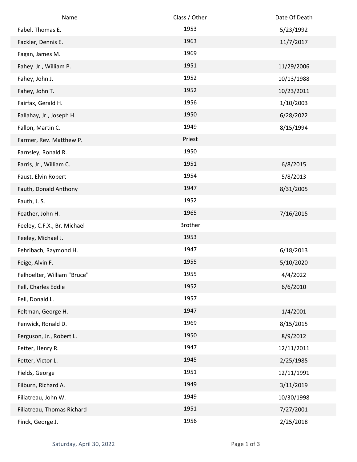| Name                        | Class / Other | Date Of Death |
|-----------------------------|---------------|---------------|
| Fabel, Thomas E.            | 1953          | 5/23/1992     |
| Fackler, Dennis E.          | 1963          | 11/7/2017     |
| Fagan, James M.             | 1969          |               |
| Fahey Jr., William P.       | 1951          | 11/29/2006    |
| Fahey, John J.              | 1952          | 10/13/1988    |
| Fahey, John T.              | 1952          | 10/23/2011    |
| Fairfax, Gerald H.          | 1956          | 1/10/2003     |
| Fallahay, Jr., Joseph H.    | 1950          | 6/28/2022     |
| Fallon, Martin C.           | 1949          | 8/15/1994     |
| Farmer, Rev. Matthew P.     | Priest        |               |
| Farnsley, Ronald R.         | 1950          |               |
| Farris, Jr., William C.     | 1951          | 6/8/2015      |
| Faust, Elvin Robert         | 1954          | 5/8/2013      |
| Fauth, Donald Anthony       | 1947          | 8/31/2005     |
| Fauth, J. S.                | 1952          |               |
| Feather, John H.            | 1965          | 7/16/2015     |
| Feeley, C.F.X., Br. Michael | Brother       |               |
| Feeley, Michael J.          | 1953          |               |
| Fehribach, Raymond H.       | 1947          | 6/18/2013     |
| Feige, Alvin F.             | 1955          | 5/10/2020     |
| Felhoelter, William "Bruce" | 1955          | 4/4/2022      |
| Fell, Charles Eddie         | 1952          | 6/6/2010      |
| Fell, Donald L.             | 1957          |               |
| Feltman, George H.          | 1947          | 1/4/2001      |
| Fenwick, Ronald D.          | 1969          | 8/15/2015     |
| Ferguson, Jr., Robert L.    | 1950          | 8/9/2012      |
| Fetter, Henry R.            | 1947          | 12/11/2011    |
| Fetter, Victor L.           | 1945          | 2/25/1985     |
| Fields, George              | 1951          | 12/11/1991    |
| Filburn, Richard A.         | 1949          | 3/11/2019     |
| Filiatreau, John W.         | 1949          | 10/30/1998    |
| Filiatreau, Thomas Richard  | 1951          | 7/27/2001     |
| Finck, George J.            | 1956          | 2/25/2018     |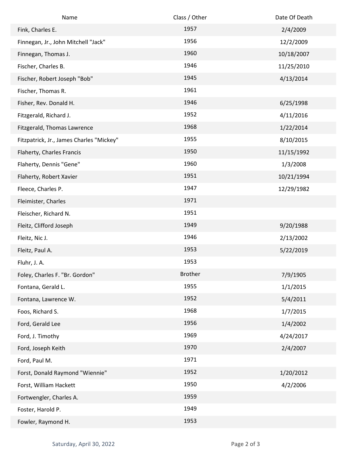| Name                                     | Class / Other  | Date Of Death |
|------------------------------------------|----------------|---------------|
| Fink, Charles E.                         | 1957           | 2/4/2009      |
| Finnegan, Jr., John Mitchell "Jack"      | 1956           | 12/2/2009     |
| Finnegan, Thomas J.                      | 1960           | 10/18/2007    |
| Fischer, Charles B.                      | 1946           | 11/25/2010    |
| Fischer, Robert Joseph "Bob"             | 1945           | 4/13/2014     |
| Fischer, Thomas R.                       | 1961           |               |
| Fisher, Rev. Donald H.                   | 1946           | 6/25/1998     |
| Fitzgerald, Richard J.                   | 1952           | 4/11/2016     |
| Fitzgerald, Thomas Lawrence              | 1968           | 1/22/2014     |
| Fitzpatrick, Jr., James Charles "Mickey" | 1955           | 8/10/2015     |
| Flaherty, Charles Francis                | 1950           | 11/15/1992    |
| Flaherty, Dennis "Gene"                  | 1960           | 1/3/2008      |
| Flaherty, Robert Xavier                  | 1951           | 10/21/1994    |
| Fleece, Charles P.                       | 1947           | 12/29/1982    |
| Fleimister, Charles                      | 1971           |               |
| Fleischer, Richard N.                    | 1951           |               |
| Fleitz, Clifford Joseph                  | 1949           | 9/20/1988     |
| Fleitz, Nic J.                           | 1946           | 2/13/2002     |
| Fleitz, Paul A.                          | 1953           | 5/22/2019     |
| Fluhr, J. A.                             | 1953           |               |
| Foley, Charles F. "Br. Gordon"           | <b>Brother</b> | 7/9/1905      |
| Fontana, Gerald L.                       | 1955           | 1/1/2015      |
| Fontana, Lawrence W.                     | 1952           | 5/4/2011      |
| Foos, Richard S.                         | 1968           | 1/7/2015      |
| Ford, Gerald Lee                         | 1956           | 1/4/2002      |
| Ford, J. Timothy                         | 1969           | 4/24/2017     |
| Ford, Joseph Keith                       | 1970           | 2/4/2007      |
| Ford, Paul M.                            | 1971           |               |
| Forst, Donald Raymond "Wiennie"          | 1952           | 1/20/2012     |
| Forst, William Hackett                   | 1950           | 4/2/2006      |
| Fortwengler, Charles A.                  | 1959           |               |
| Foster, Harold P.                        | 1949           |               |
| Fowler, Raymond H.                       | 1953           |               |